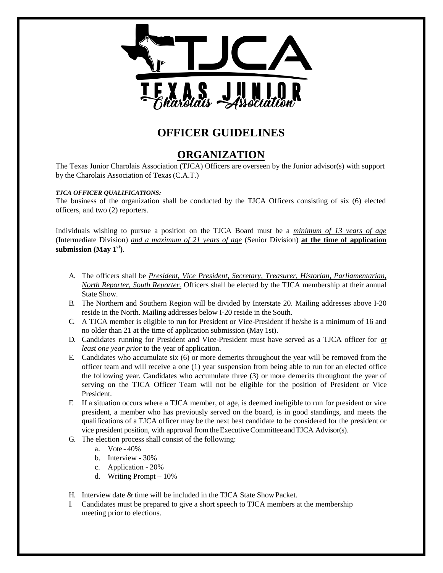

## **OFFICER GUIDELINES**

## **ORGANIZATION**

The Texas Junior Charolais Association (TJCA) Officers are overseen by the Junior advisor(s) with support by the Charolais Association of Texas(C.A.T.)

#### *TJCA OFFICER QUALIFICATIONS:*

The business of the organization shall be conducted by the TJCA Officers consisting of six (6) elected officers, and two (2) reporters.

Individuals wishing to pursue a position on the TJCA Board must be a *minimum of 13 years of age* (Intermediate Division) *and a maximum of 21 years of age* (Senior Division) **at the time of application submission (May 1st)**.

- A. The officers shall be *President, Vice President, Secretary, Treasurer, Historian, Parliamentarian, North Reporter, South Reporter.* Officers shall be elected by the TJCA membership at their annual State Show.
- B. The Northern and Southern Region will be divided by Interstate 20. Mailing addresses above I-20 reside in the North. Mailing addresses below I-20 reside in the South.
- C. A TJCA member is eligible to run for President or Vice-President if he/she is a minimum of 16 and no older than 21 at the time of application submission (May 1st).
- D. Candidates running for President and Vice-President must have served as a TJCA officer for *at least one year prior* to the year of application.
- E. Candidates who accumulate six (6) or more demerits throughout the year will be removed from the officer team and will receive a one (1) year suspension from being able to run for an elected office the following year. Candidates who accumulate three (3) or more demerits throughout the year of serving on the TJCA Officer Team will not be eligible for the position of President or Vice President.
- F. If a situation occurs where a TJCA member, of age, is deemed ineligible to run for president or vice president, a member who has previously served on the board, is in good standings, and meets the qualifications of a TJCA officer may be the next best candidate to be considered for the president or vice president position, with approval from theExecutiveCommittee andTJCA Advisor(s).
- G. The election process shall consist of the following:
	- a. Vote 40%
	- b. Interview 30%
	- c. Application 20%
	- d. Writing Prompt 10%
- H. Interview date & time will be included in the TJCA State ShowPacket.
- I. Candidates must be prepared to give a short speech to TJCA members at the membership meeting prior to elections.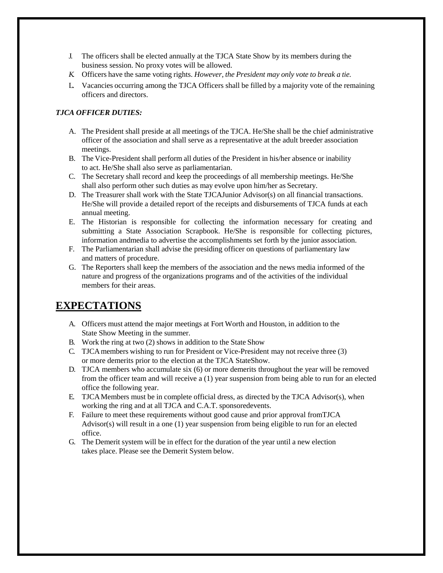- J. The officers shall be elected annually at the TJCA State Show by its members during the business session. No proxy votes will be allowed.
- *K.* Officers have the same voting rights. *However, the President may only vote to break a tie.*
- L. Vacancies occurring among the TJCA Officers shall be filled by a majority vote of the remaining officers and directors.

#### *TJCA OFFICER DUTIES:*

- A. The President shall preside at all meetings of the TJCA. He/She shall be the chief administrative officer of the association and shall serve as a representative at the adult breeder association meetings.
- B. The Vice-President shall perform all duties of the President in his/her absence or inability to act. He/She shall also serve as parliamentarian.
- C. The Secretary shall record and keep the proceedings of all membership meetings. He/She shall also perform other such duties as may evolve upon him/her as Secretary.
- D. The Treasurer shall work with the State TJCAJunior Advisor(s) on all financial transactions. He/She will provide a detailed report of the receipts and disbursements of TJCA funds at each annual meeting.
- E. The Historian is responsible for collecting the information necessary for creating and submitting a State Association Scrapbook. He/She is responsible for collecting pictures, information andmedia to advertise the accomplishments set forth by the junior association.
- F. The Parliamentarian shall advise the presiding officer on questions of parliamentary law and matters of procedure.
- G. The Reporters shall keep the members of the association and the news media informed of the nature and progress of the organizations programs and of the activities of the individual members for their areas.

### **EXPECTATIONS**

- A. Officers must attend the major meetings at Fort Worth and Houston, in addition to the State Show Meeting in the summer.
- B. Work the ring at two (2) shows in addition to the State Show
- C. TJCAmembers wishing to run for President or Vice-President may not receive three (3) or more demerits prior to the election at the TJCA StateShow.
- D. TJCA members who accumulate six (6) or more demerits throughout the year will be removed from the officer team and will receive a (1) year suspension from being able to run for an elected office the following year.
- E. TJCAMembers must be in complete official dress, as directed by the TJCA Advisor(s), when working the ring and at all TJCA and C.A.T. sponsoredevents.
- F. Failure to meet these requirements without good cause and prior approval fromTJCA Advisor(s) will result in a one (1) year suspension from being eligible to run for an elected office.
- G. The Demerit system will be in effect for the duration of the year until a new election takes place. Please see the Demerit System below.